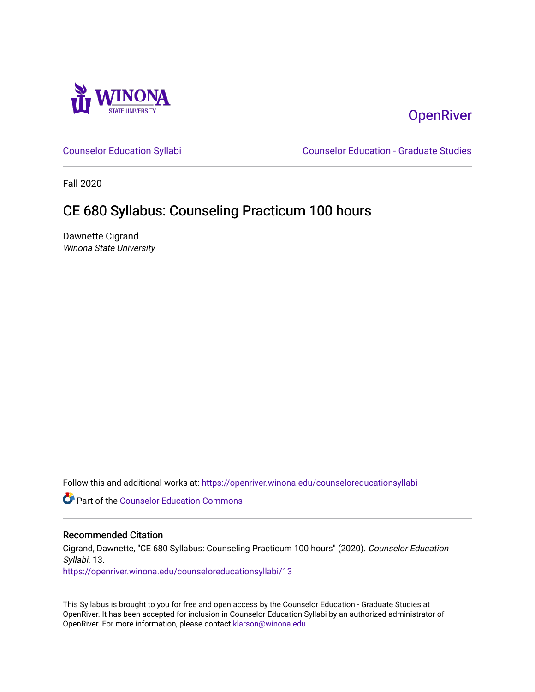

# **OpenRiver**

[Counselor Education Syllabi](https://openriver.winona.edu/counseloreducationsyllabi) [Counselor Education - Graduate Studies](https://openriver.winona.edu/counseloreducation) 

Fall 2020

# CE 680 Syllabus: Counseling Practicum 100 hours

Dawnette Cigrand Winona State University

Follow this and additional works at: [https://openriver.winona.edu/counseloreducationsyllabi](https://openriver.winona.edu/counseloreducationsyllabi?utm_source=openriver.winona.edu%2Fcounseloreducationsyllabi%2F13&utm_medium=PDF&utm_campaign=PDFCoverPages)

Part of the [Counselor Education Commons](http://network.bepress.com/hgg/discipline/1278?utm_source=openriver.winona.edu%2Fcounseloreducationsyllabi%2F13&utm_medium=PDF&utm_campaign=PDFCoverPages) 

#### Recommended Citation

Cigrand, Dawnette, "CE 680 Syllabus: Counseling Practicum 100 hours" (2020). Counselor Education Syllabi. 13.

[https://openriver.winona.edu/counseloreducationsyllabi/13](https://openriver.winona.edu/counseloreducationsyllabi/13?utm_source=openriver.winona.edu%2Fcounseloreducationsyllabi%2F13&utm_medium=PDF&utm_campaign=PDFCoverPages) 

This Syllabus is brought to you for free and open access by the Counselor Education - Graduate Studies at OpenRiver. It has been accepted for inclusion in Counselor Education Syllabi by an authorized administrator of OpenRiver. For more information, please contact [klarson@winona.edu](mailto:klarson@winona.edu).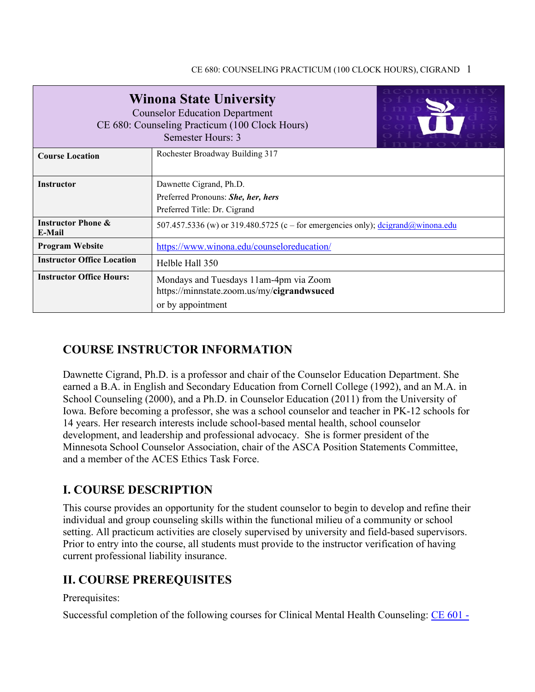| <b>Winona State University</b><br><b>Counselor Education Department</b><br>CE 680: Counseling Practicum (100 Clock Hours)<br>Semester Hours: 3 |                                                                                                             |  |  |  |  |
|------------------------------------------------------------------------------------------------------------------------------------------------|-------------------------------------------------------------------------------------------------------------|--|--|--|--|
| <b>Course Location</b>                                                                                                                         | Rochester Broadway Building 317                                                                             |  |  |  |  |
| <b>Instructor</b>                                                                                                                              | Dawnette Cigrand, Ph.D.                                                                                     |  |  |  |  |
|                                                                                                                                                | Preferred Pronouns: She, her, hers                                                                          |  |  |  |  |
|                                                                                                                                                | Preferred Title: Dr. Cigrand                                                                                |  |  |  |  |
| <b>Instructor Phone &amp;</b><br>E-Mail                                                                                                        | 507.457.5336 (w) or 319.480.5725 (c – for emergencies only); $\frac{\text{deigrand}(a)}{\text{winona.edu}}$ |  |  |  |  |
| <b>Program Website</b>                                                                                                                         | https://www.winona.edu/counseloreducation/                                                                  |  |  |  |  |
| <b>Instructor Office Location</b>                                                                                                              | Helble Hall 350                                                                                             |  |  |  |  |
| <b>Instructor Office Hours:</b>                                                                                                                | Mondays and Tuesdays 11am-4pm via Zoom<br>https://minnstate.zoom.us/my/cigrandwsuced<br>or by appointment   |  |  |  |  |

# **COURSE INSTRUCTOR INFORMATION**

Dawnette Cigrand, Ph.D. is a professor and chair of the Counselor Education Department. She earned a B.A. in English and Secondary Education from Cornell College (1992), and an M.A. in School Counseling (2000), and a Ph.D. in Counselor Education (2011) from the University of Iowa. Before becoming a professor, she was a school counselor and teacher in PK-12 schools for 14 years. Her research interests include school-based mental health, school counselor development, and leadership and professional advocacy. She is former president of the Minnesota School Counselor Association, chair of the ASCA Position Statements Committee, and a member of the ACES Ethics Task Force.

# **I. COURSE DESCRIPTION**

This course provides an opportunity for the student counselor to begin to develop and refine their individual and group counseling skills within the functional milieu of a community or school setting. All practicum activities are closely supervised by university and field-based supervisors. Prior to entry into the course, all students must provide to the instructor verification of having current professional liability insurance.

## **II. COURSE PREREQUISITES**

Prerequisites:

Successful completion of the following courses for Clinical Mental Health Counseling: [CE 601 -](http://catalog.winona.edu/preview_program.php?catoid=17&poid=3390#tt1627)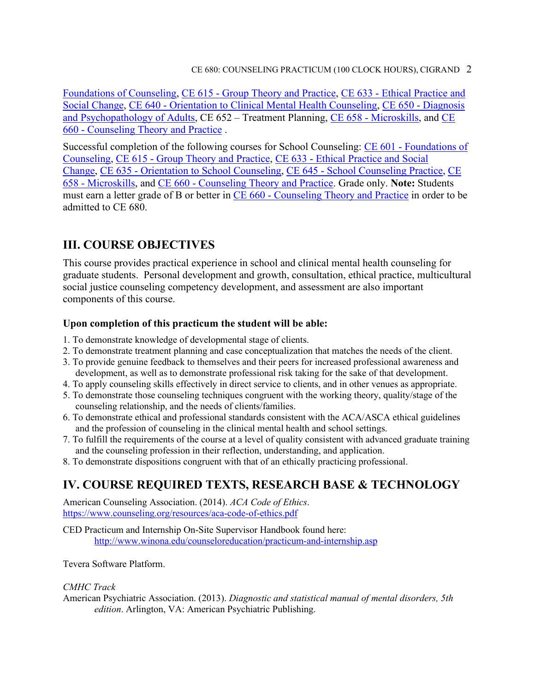[Foundations of Counseling,](http://catalog.winona.edu/preview_program.php?catoid=17&poid=3390#tt1627) CE 615 - [Group Theory and Practice,](http://catalog.winona.edu/preview_program.php?catoid=17&poid=3390#tt8147) CE 633 - [Ethical Practice and](http://catalog.winona.edu/preview_program.php?catoid=17&poid=3390#tt2703)  [Social Change,](http://catalog.winona.edu/preview_program.php?catoid=17&poid=3390#tt2703) CE 640 - [Orientation to Clinical Mental Health Counseling,](http://catalog.winona.edu/preview_program.php?catoid=17&poid=3390#tt8968) CE 650 - [Diagnosis](http://catalog.winona.edu/preview_program.php?catoid=17&poid=3390#tt7079)  [and Psychopathology of Adults,](http://catalog.winona.edu/preview_program.php?catoid=17&poid=3390#tt7079) CE 652 – Treatment Planning, CE 658 - [Microskills,](http://catalog.winona.edu/preview_program.php?catoid=17&poid=3390#tt2443) and [CE](http://catalog.winona.edu/preview_program.php?catoid=17&poid=3390#tt8574)  660 - [Counseling Theory and Practice](http://catalog.winona.edu/preview_program.php?catoid=17&poid=3390#tt8574) .

Successful completion of the following courses for School Counseling: CE 601 - [Foundations of](http://catalog.winona.edu/preview_program.php?catoid=17&poid=3390#tt2270)  [Counseling,](http://catalog.winona.edu/preview_program.php?catoid=17&poid=3390#tt2270) CE 615 - [Group Theory and Practice,](http://catalog.winona.edu/preview_program.php?catoid=17&poid=3390#tt4462) CE 633 - [Ethical Practice and Social](http://catalog.winona.edu/preview_program.php?catoid=17&poid=3390#tt9212)  [Change,](http://catalog.winona.edu/preview_program.php?catoid=17&poid=3390#tt9212) CE 635 - [Orientation to School Counseling,](http://catalog.winona.edu/preview_course_nopop.php?catoid=17&coid=28930) CE 645 - [School Counseling Practice,](http://catalog.winona.edu/preview_program.php?catoid=17&poid=3390#tt4916) [CE](http://catalog.winona.edu/preview_program.php?catoid=17&poid=3390#tt6809)  658 - [Microskills,](http://catalog.winona.edu/preview_program.php?catoid=17&poid=3390#tt6809) and CE 660 - [Counseling Theory and Practice.](http://catalog.winona.edu/preview_program.php?catoid=17&poid=3390#tt9239) Grade only. **Note:** Students must earn a letter grade of B or better in CE 660 - [Counseling Theory and Practice](http://catalog.winona.edu/preview_program.php?catoid=17&poid=3390#tt6572) in order to be admitted to CE 680.

# **III. COURSE OBJECTIVES**

This course provides practical experience in school and clinical mental health counseling for graduate students. Personal development and growth, consultation, ethical practice, multicultural social justice counseling competency development, and assessment are also important components of this course.

### **Upon completion of this practicum the student will be able:**

- 1. To demonstrate knowledge of developmental stage of clients.
- 2. To demonstrate treatment planning and case conceptualization that matches the needs of the client.
- 3. To provide genuine feedback to themselves and their peers for increased professional awareness and development, as well as to demonstrate professional risk taking for the sake of that development.
- 4. To apply counseling skills effectively in direct service to clients, and in other venues as appropriate.
- 5. To demonstrate those counseling techniques congruent with the working theory, quality/stage of the counseling relationship, and the needs of clients/families.
- 6. To demonstrate ethical and professional standards consistent with the ACA/ASCA ethical guidelines and the profession of counseling in the clinical mental health and school settings.
- 7. To fulfill the requirements of the course at a level of quality consistent with advanced graduate training and the counseling profession in their reflection, understanding, and application.
- 8. To demonstrate dispositions congruent with that of an ethically practicing professional.

# **IV. COURSE REQUIRED TEXTS, RESEARCH BASE & TECHNOLOGY**

American Counseling Association. (2014). *ACA Code of Ethics*. <https://www.counseling.org/resources/aca-code-of-ethics.pdf>

CED Practicum and Internship On-Site Supervisor Handbook found here: <http://www.winona.edu/counseloreducation/practicum-and-internship.asp>

Tevera Software Platform.

#### *CMHC Track*

American Psychiatric Association. (2013). *Diagnostic and statistical manual of mental disorders, 5th edition*. Arlington, VA: American Psychiatric Publishing.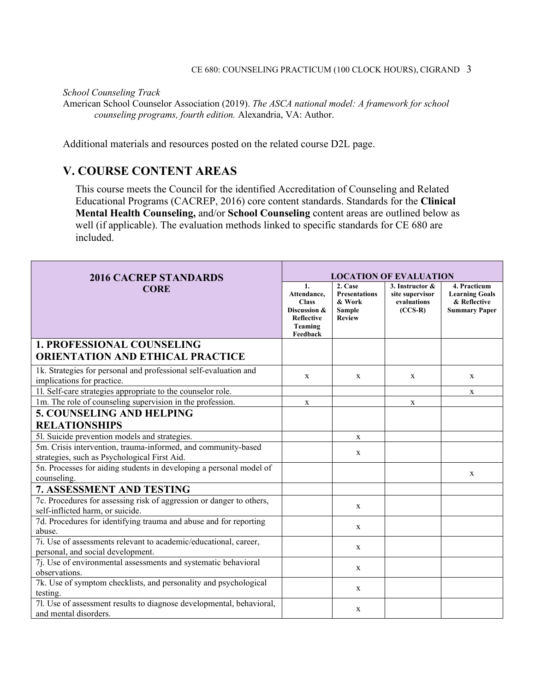#### *School Counseling Track*

American School Counselor Association (2019). *The ASCA national model: A framework for school counseling programs, fourth edition.* Alexandria, VA: Author.

Additional materials and resources posted on the related course D2L page.

## **V. COURSE CONTENT AREAS**

This course meets the Council for the identified Accreditation of Counseling and Related Educational Programs (CACREP, 2016) core content standards. Standards for the **Clinical Mental Health Counseling,** and/or **School Counseling** content areas are outlined below as well (if applicable). The evaluation methods linked to specific standards for CE 680 are included.

| <b>2016 CACREP STANDARDS</b>                                                                                  | <b>LOCATION OF EVALUATION</b>                                                                 |                                                                             |                                                                |                                                                               |
|---------------------------------------------------------------------------------------------------------------|-----------------------------------------------------------------------------------------------|-----------------------------------------------------------------------------|----------------------------------------------------------------|-------------------------------------------------------------------------------|
| <b>CORE</b>                                                                                                   | 1.<br>Attendance,<br><b>Class</b><br>Discussion &<br><b>Reflective</b><br>Teaming<br>Feedback | 2. Case<br><b>Presentations</b><br>& Work<br><b>Sample</b><br><b>Review</b> | 3. Instructor &<br>site supervisor<br>evaluations<br>$(CCS-R)$ | 4. Practicum<br><b>Learning Goals</b><br>& Reflective<br><b>Summary Paper</b> |
| <b>1. PROFESSIONAL COUNSELING</b>                                                                             |                                                                                               |                                                                             |                                                                |                                                                               |
| <b>ORIENTATION AND ETHICAL PRACTICE</b>                                                                       |                                                                                               |                                                                             |                                                                |                                                                               |
| 1k. Strategies for personal and professional self-evaluation and<br>implications for practice.                | X                                                                                             | X                                                                           | X                                                              | X                                                                             |
| 11. Self-care strategies appropriate to the counselor role.                                                   |                                                                                               |                                                                             |                                                                | X                                                                             |
| 1m. The role of counseling supervision in the profession.                                                     | $\mathbf x$                                                                                   |                                                                             | $\mathbf X$                                                    |                                                                               |
| <b>5. COUNSELING AND HELPING</b>                                                                              |                                                                                               |                                                                             |                                                                |                                                                               |
| <b>RELATIONSHIPS</b>                                                                                          |                                                                                               |                                                                             |                                                                |                                                                               |
| 51. Suicide prevention models and strategies.                                                                 |                                                                                               | X                                                                           |                                                                |                                                                               |
| 5m. Crisis intervention, trauma-informed, and community-based<br>strategies, such as Psychological First Aid. |                                                                                               | X                                                                           |                                                                |                                                                               |
| 5n. Processes for aiding students in developing a personal model of<br>counseling.                            |                                                                                               |                                                                             |                                                                | X                                                                             |
| 7. ASSESSMENT AND TESTING                                                                                     |                                                                                               |                                                                             |                                                                |                                                                               |
| 7c. Procedures for assessing risk of aggression or danger to others,<br>self-inflicted harm, or suicide.      |                                                                                               | X                                                                           |                                                                |                                                                               |
| 7d. Procedures for identifying trauma and abuse and for reporting<br>abuse.                                   |                                                                                               | $\mathbf X$                                                                 |                                                                |                                                                               |
| 7i. Use of assessments relevant to academic/educational, career,<br>personal, and social development.         |                                                                                               | $\mathbf x$                                                                 |                                                                |                                                                               |
| 7j. Use of environmental assessments and systematic behavioral<br>observations.                               |                                                                                               | $\mathbf{x}$                                                                |                                                                |                                                                               |
| 7k. Use of symptom checklists, and personality and psychological<br>testing.                                  |                                                                                               | $\mathbf X$                                                                 |                                                                |                                                                               |
| 7l. Use of assessment results to diagnose developmental, behavioral,<br>and mental disorders.                 |                                                                                               | $\mathbf{x}$                                                                |                                                                |                                                                               |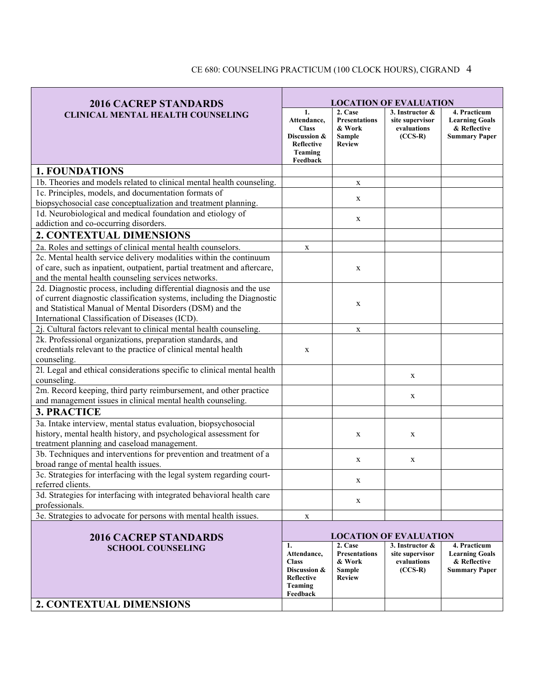| <b>2016 CACREP STANDARDS</b>                                                                                | <b>LOCATION OF EVALUATION</b>                                                                        |                                                                             |                                                                |                                                                               |
|-------------------------------------------------------------------------------------------------------------|------------------------------------------------------------------------------------------------------|-----------------------------------------------------------------------------|----------------------------------------------------------------|-------------------------------------------------------------------------------|
| <b>CLINICAL MENTAL HEALTH COUNSELING</b>                                                                    | 1.<br>Attendance.<br><b>Class</b><br>Discussion &<br><b>Reflective</b><br><b>Teaming</b><br>Feedback | 2. Case<br><b>Presentations</b><br>& Work<br><b>Sample</b><br><b>Review</b> | 3. Instructor &<br>site supervisor<br>evaluations<br>$(CCS-R)$ | 4. Practicum<br><b>Learning Goals</b><br>& Reflective<br><b>Summary Paper</b> |
| <b>1. FOUNDATIONS</b>                                                                                       |                                                                                                      |                                                                             |                                                                |                                                                               |
| 1b. Theories and models related to clinical mental health counseling.                                       |                                                                                                      | X                                                                           |                                                                |                                                                               |
| 1c. Principles, models, and documentation formats of                                                        |                                                                                                      |                                                                             |                                                                |                                                                               |
| biopsychosocial case conceptualization and treatment planning.                                              |                                                                                                      | X                                                                           |                                                                |                                                                               |
| 1d. Neurobiological and medical foundation and etiology of                                                  |                                                                                                      | X                                                                           |                                                                |                                                                               |
| addiction and co-occurring disorders.                                                                       |                                                                                                      |                                                                             |                                                                |                                                                               |
| <b>2. CONTEXTUAL DIMENSIONS</b>                                                                             |                                                                                                      |                                                                             |                                                                |                                                                               |
| 2a. Roles and settings of clinical mental health counselors.                                                | $\mathbf X$                                                                                          |                                                                             |                                                                |                                                                               |
| 2c. Mental health service delivery modalities within the continuum                                          |                                                                                                      |                                                                             |                                                                |                                                                               |
| of care, such as inpatient, outpatient, partial treatment and aftercare,                                    |                                                                                                      | X                                                                           |                                                                |                                                                               |
| and the mental health counseling services networks.                                                         |                                                                                                      |                                                                             |                                                                |                                                                               |
| 2d. Diagnostic process, including differential diagnosis and the use                                        |                                                                                                      |                                                                             |                                                                |                                                                               |
| of current diagnostic classification systems, including the Diagnostic                                      |                                                                                                      | X                                                                           |                                                                |                                                                               |
| and Statistical Manual of Mental Disorders (DSM) and the<br>International Classification of Diseases (ICD). |                                                                                                      |                                                                             |                                                                |                                                                               |
| 2j. Cultural factors relevant to clinical mental health counseling.                                         |                                                                                                      | X                                                                           |                                                                |                                                                               |
| 2k. Professional organizations, preparation standards, and                                                  |                                                                                                      |                                                                             |                                                                |                                                                               |
| credentials relevant to the practice of clinical mental health                                              | X                                                                                                    |                                                                             |                                                                |                                                                               |
| counseling.                                                                                                 |                                                                                                      |                                                                             |                                                                |                                                                               |
| 21. Legal and ethical considerations specific to clinical mental health                                     |                                                                                                      |                                                                             |                                                                |                                                                               |
| counseling.                                                                                                 |                                                                                                      |                                                                             | X                                                              |                                                                               |
| 2m. Record keeping, third party reimbursement, and other practice                                           |                                                                                                      |                                                                             |                                                                |                                                                               |
| and management issues in clinical mental health counseling.                                                 |                                                                                                      |                                                                             | X                                                              |                                                                               |
| <b>3. PRACTICE</b>                                                                                          |                                                                                                      |                                                                             |                                                                |                                                                               |
| 3a. Intake interview, mental status evaluation, biopsychosocial                                             |                                                                                                      |                                                                             |                                                                |                                                                               |
| history, mental health history, and psychological assessment for                                            |                                                                                                      | X                                                                           | X                                                              |                                                                               |
| treatment planning and caseload management.                                                                 |                                                                                                      |                                                                             |                                                                |                                                                               |
| 3b. Techniques and interventions for prevention and treatment of a                                          |                                                                                                      | X                                                                           | X                                                              |                                                                               |
| broad range of mental health issues.                                                                        |                                                                                                      |                                                                             |                                                                |                                                                               |
| 3c. Strategies for interfacing with the legal system regarding court-                                       |                                                                                                      | X                                                                           |                                                                |                                                                               |
| referred clients.<br>3d. Strategies for interfacing with integrated behavioral health care                  |                                                                                                      |                                                                             |                                                                |                                                                               |
| professionals.                                                                                              |                                                                                                      | X                                                                           |                                                                |                                                                               |
| 3e. Strategies to advocate for persons with mental health issues.                                           | X                                                                                                    |                                                                             |                                                                |                                                                               |
|                                                                                                             |                                                                                                      |                                                                             |                                                                |                                                                               |
| <b>2016 CACREP STANDARDS</b>                                                                                |                                                                                                      |                                                                             | <b>LOCATION OF EVALUATION</b>                                  |                                                                               |
| <b>SCHOOL COUNSELING</b>                                                                                    | 1.<br>Attendance,<br><b>Class</b><br>Discussion &<br>Reflective<br><b>Teaming</b><br>Feedback        | 2. Case<br><b>Presentations</b><br>& Work<br>Sample<br><b>Review</b>        | 3. Instructor &<br>site supervisor<br>evaluations<br>$(CCS-R)$ | 4. Practicum<br><b>Learning Goals</b><br>& Reflective<br><b>Summary Paper</b> |
| 2. CONTEXTUAL DIMENSIONS                                                                                    |                                                                                                      |                                                                             |                                                                |                                                                               |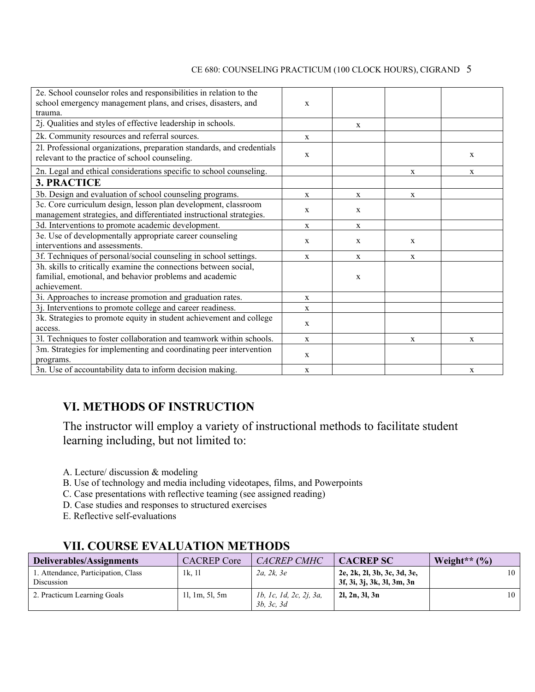| 2e. School counselor roles and responsibilities in relation to the<br>school emergency management plans, and crises, disasters, and<br>trauma. | $\mathbf{x}$ |             |              |             |
|------------------------------------------------------------------------------------------------------------------------------------------------|--------------|-------------|--------------|-------------|
| 2j. Qualities and styles of effective leadership in schools.                                                                                   |              | X           |              |             |
| 2k. Community resources and referral sources.                                                                                                  | X            |             |              |             |
| 21. Professional organizations, preparation standards, and credentials<br>relevant to the practice of school counseling.                       | $\mathbf X$  |             |              | X           |
| 2n. Legal and ethical considerations specific to school counseling.                                                                            |              |             | $\mathbf X$  | $\mathbf X$ |
| <b>3. PRACTICE</b>                                                                                                                             |              |             |              |             |
| 3b. Design and evaluation of school counseling programs.                                                                                       | $\mathbf{X}$ | $\mathbf x$ | $\mathbf{X}$ |             |
| 3c. Core curriculum design, lesson plan development, classroom<br>management strategies, and differentiated instructional strategies.          | $\mathbf{X}$ | X           |              |             |
| 3d. Interventions to promote academic development.                                                                                             | $\mathbf{X}$ | X           |              |             |
| 3e. Use of developmentally appropriate career counseling<br>interventions and assessments.                                                     | $\mathbf{X}$ | X           | X            |             |
| 3f. Techniques of personal/social counseling in school settings.                                                                               | X            | X           | X            |             |
| 3h. skills to critically examine the connections between social,<br>familial, emotional, and behavior problems and academic<br>achievement.    |              | X           |              |             |
| 3i. Approaches to increase promotion and graduation rates.                                                                                     | $\mathbf X$  |             |              |             |
| 3j. Interventions to promote college and career readiness.                                                                                     | $\mathbf{X}$ |             |              |             |
| 3k. Strategies to promote equity in student achievement and college<br>access.                                                                 | $\mathbf{X}$ |             |              |             |
| 31. Techniques to foster collaboration and teamwork within schools.                                                                            | $\mathbf{X}$ |             | X            | X           |
| 3m. Strategies for implementing and coordinating peer intervention<br>programs.                                                                | $\mathbf{X}$ |             |              |             |
| 3n. Use of accountability data to inform decision making.                                                                                      | $\mathbf{X}$ |             |              | X           |

## **VI. METHODS OF INSTRUCTION**

The instructor will employ a variety of instructional methods to facilitate student learning including, but not limited to:

- A. Lecture/ discussion & modeling
- B. Use of technology and media including videotapes, films, and Powerpoints
- C. Case presentations with reflective teaming (see assigned reading)
- D. Case studies and responses to structured exercises
- E. Reflective self-evaluations

| Deliverables/Assignments                          | <b>CACREP</b> Core | CACREP CMHC                           | <b>CACREP SC</b>                                          | Weight** $(\% )$ |
|---------------------------------------------------|--------------------|---------------------------------------|-----------------------------------------------------------|------------------|
| 1. Attendance, Participation, Class<br>Discussion | 1k. 11             | 2a. 2k. 3e                            | 2e, 2k, 2l, 3b, 3c, 3d, 3e,<br>3f, 3i, 3j, 3k, 3l, 3m, 3n | 10               |
| 2. Practicum Learning Goals                       | 11, 1m, 51, 5m     | 1b, 1c, 1d, 2c, 2j, 3a,<br>3b, 3c, 3d | 2l, 2n, 3l, 3n                                            | 10               |

## **VII. COURSE EVALUATION METHODS**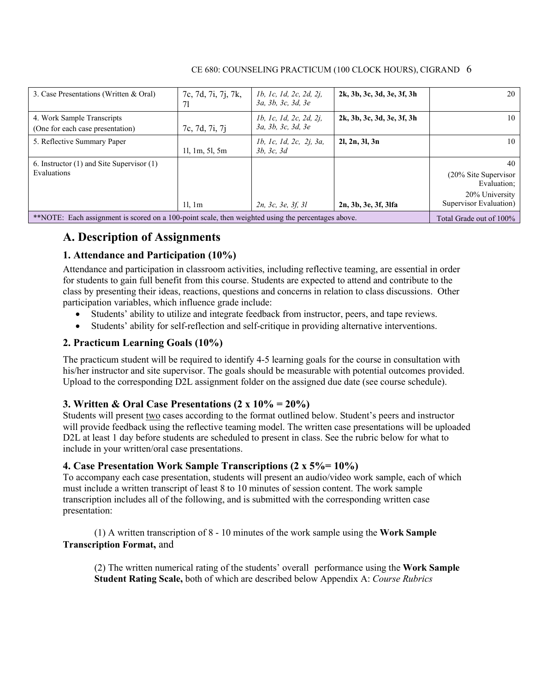| 3. Case Presentations (Written & Oral)                                                              | 7c, 7d, 7i, 7j, 7k,<br>71 | 1b, 1c, 1d, 2c, 2d, 2j,<br>3a, 3b, 3c, 3d, 3e | 2k, 3b, 3c, 3d, 3e, 3f, 3h | 20                                                                                         |
|-----------------------------------------------------------------------------------------------------|---------------------------|-----------------------------------------------|----------------------------|--------------------------------------------------------------------------------------------|
| 4. Work Sample Transcripts<br>(One for each case presentation)                                      | 7c, 7d, 7i, 7j            | 1b, 1c, 1d, 2c, 2d, 2j,<br>За, 3b, 3c, 3d, 3e | 2k, 3b, 3c, 3d, 3e, 3f, 3h | $10-1$                                                                                     |
| 5. Reflective Summary Paper                                                                         | 11, 1m, 51, 5m            | 1b, 1c, 1d, 2c, 2j, 3a,<br>3b, 3c, 3d         | 2l, 2n, 3l, 3n             | 10 l                                                                                       |
| 6. Instructor $(1)$ and Site Supervisor $(1)$<br>Evaluations                                        | 11.1m                     | 2n, 3c, 3e, 3f, 3l                            | 2n, 3b, 3e, 3f, 3lfa       | 40 l<br>$(20\%$ Site Supervisor<br>Evaluation;<br>20% University<br>Supervisor Evaluation) |
| ** NOTE: Each assignment is scored on a 100-point scale, then weighted using the percentages above. |                           |                                               |                            | Total Grade out of 100%                                                                    |

## **A. Description of Assignments**

### **1. Attendance and Participation (10%)**

Attendance and participation in classroom activities, including reflective teaming, are essential in order for students to gain full benefit from this course. Students are expected to attend and contribute to the class by presenting their ideas, reactions, questions and concerns in relation to class discussions. Other participation variables, which influence grade include:

- Students' ability to utilize and integrate feedback from instructor, peers, and tape reviews.
- Students' ability for self-reflection and self-critique in providing alternative interventions.

### **2. Practicum Learning Goals (10%)**

The practicum student will be required to identify 4-5 learning goals for the course in consultation with his/her instructor and site supervisor. The goals should be measurable with potential outcomes provided. Upload to the corresponding D2L assignment folder on the assigned due date (see course schedule).

#### **3. Written & Oral Case Presentations (2 x 10% = 20%)**

Students will present two cases according to the format outlined below. Student's peers and instructor will provide feedback using the reflective teaming model. The written case presentations will be uploaded D2L at least 1 day before students are scheduled to present in class. See the rubric below for what to include in your written/oral case presentations.

#### **4. Case Presentation Work Sample Transcriptions (2 x 5%= 10%)**

To accompany each case presentation, students will present an audio/video work sample, each of which must include a written transcript of least 8 to 10 minutes of session content. The work sample transcription includes all of the following, and is submitted with the corresponding written case presentation:

(1) A written transcription of 8 - 10 minutes of the work sample using the **Work Sample Transcription Format,** and

(2) The written numerical rating of the students' overall performance using the **Work Sample Student Rating Scale,** both of which are described below Appendix A: *Course Rubrics*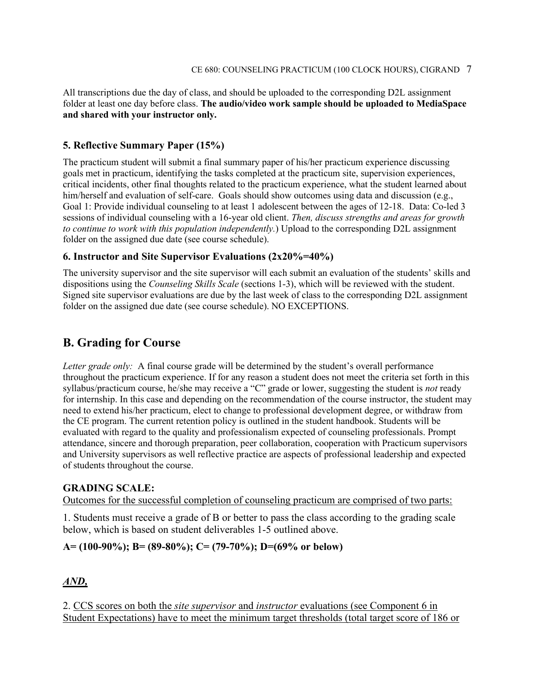All transcriptions due the day of class, and should be uploaded to the corresponding D2L assignment folder at least one day before class. **The audio/video work sample should be uploaded to MediaSpace and shared with your instructor only.** 

### **5. Reflective Summary Paper (15%)**

The practicum student will submit a final summary paper of his/her practicum experience discussing goals met in practicum, identifying the tasks completed at the practicum site, supervision experiences, critical incidents, other final thoughts related to the practicum experience, what the student learned about him/herself and evaluation of self-care. Goals should show outcomes using data and discussion (e.g., Goal 1: Provide individual counseling to at least 1 adolescent between the ages of 12-18. Data: Co-led 3 sessions of individual counseling with a 16-year old client. *Then, discuss strengths and areas for growth to continue to work with this population independently.*) Upload to the corresponding D2L assignment folder on the assigned due date (see course schedule).

#### **6. Instructor and Site Supervisor Evaluations (2x20%=40%)**

The university supervisor and the site supervisor will each submit an evaluation of the students' skills and dispositions using the *Counseling Skills Scale* (sections 1-3), which will be reviewed with the student. Signed site supervisor evaluations are due by the last week of class to the corresponding D2L assignment folder on the assigned due date (see course schedule). NO EXCEPTIONS.

## **B. Grading for Course**

*Letter grade only:* A final course grade will be determined by the student's overall performance throughout the practicum experience. If for any reason a student does not meet the criteria set forth in this syllabus/practicum course, he/she may receive a "C" grade or lower, suggesting the student is *not* ready for internship. In this case and depending on the recommendation of the course instructor, the student may need to extend his/her practicum, elect to change to professional development degree, or withdraw from the CE program. The current retention policy is outlined in the student handbook. Students will be evaluated with regard to the quality and professionalism expected of counseling professionals. Prompt attendance, sincere and thorough preparation, peer collaboration, cooperation with Practicum supervisors and University supervisors as well reflective practice are aspects of professional leadership and expected of students throughout the course.

#### **GRADING SCALE:**

Outcomes for the successful completion of counseling practicum are comprised of two parts:

1. Students must receive a grade of B or better to pass the class according to the grading scale below, which is based on student deliverables 1-5 outlined above.

#### **A= (100-90%); B= (89-80%); C= (79-70%); D=(69% or below)**

### *AND,*

2. CCS scores on both the *site supervisor* and *instructor* evaluations (see Component 6 in Student Expectations) have to meet the minimum target thresholds (total target score of 186 or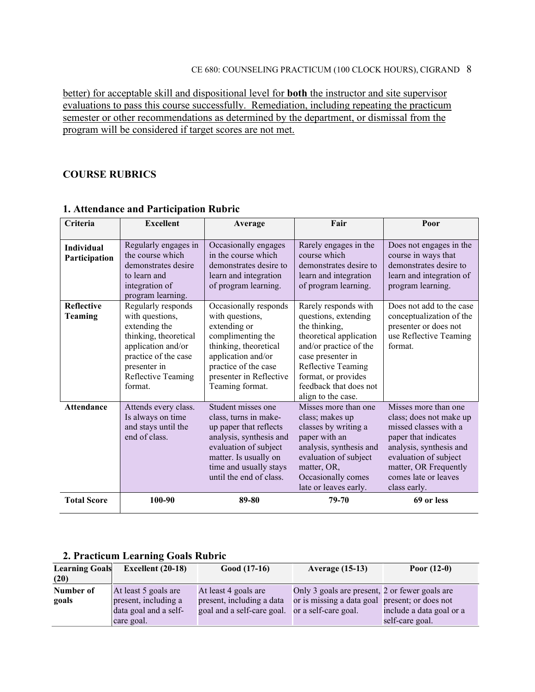better) for acceptable skill and dispositional level for **both** the instructor and site supervisor evaluations to pass this course successfully. Remediation, including repeating the practicum semester or other recommendations as determined by the department, or dismissal from the program will be considered if target scores are not met.

### **COURSE RUBRICS**

| Criteria                            | <b>Excellent</b>                                                                                                                                                               | Average                                                                                                                                                                                                 | Fair                                                                                                                                                                                                                                 | Poor                                                                                                                                                                                                                  |
|-------------------------------------|--------------------------------------------------------------------------------------------------------------------------------------------------------------------------------|---------------------------------------------------------------------------------------------------------------------------------------------------------------------------------------------------------|--------------------------------------------------------------------------------------------------------------------------------------------------------------------------------------------------------------------------------------|-----------------------------------------------------------------------------------------------------------------------------------------------------------------------------------------------------------------------|
|                                     |                                                                                                                                                                                |                                                                                                                                                                                                         |                                                                                                                                                                                                                                      |                                                                                                                                                                                                                       |
| Individual<br>Participation         | Regularly engages in<br>the course which<br>demonstrates desire<br>to learn and<br>integration of<br>program learning.                                                         | Occasionally engages<br>in the course which<br>demonstrates desire to<br>learn and integration<br>of program learning.                                                                                  | Rarely engages in the<br>course which<br>demonstrates desire to<br>learn and integration<br>of program learning.                                                                                                                     | Does not engages in the<br>course in ways that<br>demonstrates desire to<br>learn and integration of<br>program learning.                                                                                             |
| <b>Reflective</b><br><b>Teaming</b> | Regularly responds<br>with questions,<br>extending the<br>thinking, theoretical<br>application and/or<br>practice of the case<br>presenter in<br>Reflective Teaming<br>format. | Occasionally responds<br>with questions,<br>extending or<br>complimenting the<br>thinking, theoretical<br>application and/or<br>practice of the case<br>presenter in Reflective<br>Teaming format.      | Rarely responds with<br>questions, extending<br>the thinking,<br>theoretical application<br>and/or practice of the<br>case presenter in<br>Reflective Teaming<br>format, or provides<br>feedback that does not<br>align to the case. | Does not add to the case<br>conceptualization of the<br>presenter or does not<br>use Reflective Teaming<br>format.                                                                                                    |
| <b>Attendance</b>                   | Attends every class.<br>Is always on time<br>and stays until the<br>end of class.                                                                                              | Student misses one<br>class, turns in make-<br>up paper that reflects<br>analysis, synthesis and<br>evaluation of subject<br>matter. Is usually on<br>time and usually stays<br>until the end of class. | Misses more than one<br>class; makes up<br>classes by writing a<br>paper with an<br>analysis, synthesis and<br>evaluation of subject<br>matter, OR,<br>Occasionally comes<br>late or leaves early.                                   | Misses more than one<br>class; does not make up<br>missed classes with a<br>paper that indicates<br>analysis, synthesis and<br>evaluation of subject<br>matter, OR Frequently<br>comes late or leaves<br>class early. |
| <b>Total Score</b>                  | 100-90                                                                                                                                                                         | 89-80                                                                                                                                                                                                   | 79-70                                                                                                                                                                                                                                | 69 or less                                                                                                                                                                                                            |

### **1. Attendance and Participation Rubric**

### **2. Practicum Learning Goals Rubric**

| <b>Learning Goals</b> | Excellent $(20-18)$   | $Good (17-16)$             | <b>Average (15-13)</b>                         | Poor $(12-0)$            |
|-----------------------|-----------------------|----------------------------|------------------------------------------------|--------------------------|
| (20)                  |                       |                            |                                                |                          |
| Number of             | At least 5 goals are  | At least 4 goals are       | Only 3 goals are present, 2 or fewer goals are |                          |
| goals                 | present, including a  | present, including a data  | or is missing a data goal present; or does not |                          |
|                       | data goal and a self- | goal and a self-care goal. | or a self-care goal.                           | include a data goal or a |
|                       | care goal.            |                            |                                                | self-care goal.          |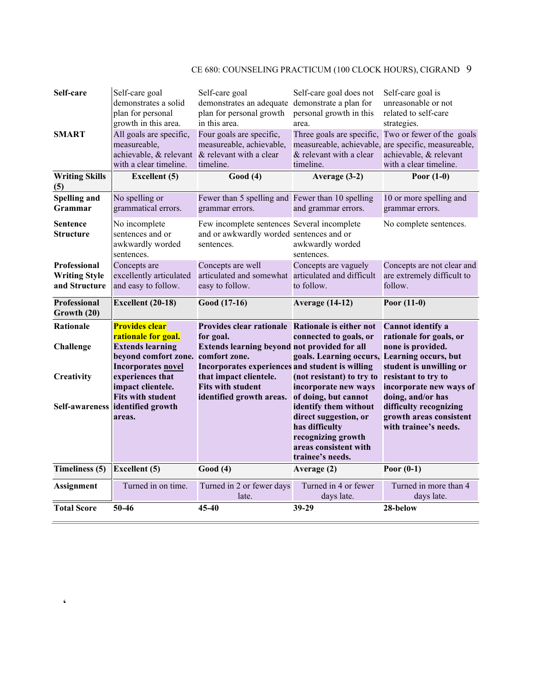| Self-care                                             | Self-care goal<br>demonstrates a solid<br>plan for personal<br>growth in this area. | Self-care goal<br>demonstrates an adequate demonstrate a plan for<br>plan for personal growth<br>in this area.      | Self-care goal does not<br>personal growth in this<br>area.                                                | Self-care goal is<br>unreasonable or not<br>related to self-care<br>strategies.                                                      |
|-------------------------------------------------------|-------------------------------------------------------------------------------------|---------------------------------------------------------------------------------------------------------------------|------------------------------------------------------------------------------------------------------------|--------------------------------------------------------------------------------------------------------------------------------------|
| <b>SMART</b>                                          | All goals are specific,<br>measureable,<br>with a clear timeline.                   | Four goals are specific,<br>measureable, achievable,<br>achievable, & relevant & relevant with a clear<br>timeline. | Three goals are specific,<br>& relevant with a clear<br>timeline.                                          | Two or fewer of the goals<br>measureable, achievable, are specific, measureable,<br>achievable, & relevant<br>with a clear timeline. |
| <b>Writing Skills</b><br>(5)                          | <b>Excellent</b> (5)                                                                | Good(4)                                                                                                             | Average (3-2)                                                                                              | Poor $(1-0)$                                                                                                                         |
| <b>Spelling and</b><br>Grammar                        | No spelling or<br>grammatical errors.                                               | Fewer than 5 spelling and Fewer than 10 spelling<br>grammar errors.                                                 | and grammar errors.                                                                                        | 10 or more spelling and<br>grammar errors.                                                                                           |
| <b>Sentence</b><br>Structure                          | No incomplete<br>sentences and or<br>awkwardly worded<br>sentences.                 | Few incomplete sentences Several incomplete<br>and or awkwardly worded sentences and or<br>sentences.               | awkwardly worded<br>sentences.                                                                             | No complete sentences.                                                                                                               |
| Professional<br><b>Writing Style</b><br>and Structure | Concepts are<br>excellently articulated<br>and easy to follow.                      | Concepts are well<br>articulated and somewhat articulated and difficult<br>easy to follow.                          | Concepts are vaguely<br>to follow.                                                                         | Concepts are not clear and<br>are extremely difficult to<br>follow.                                                                  |
| <b>Professional</b><br>Growth (20)                    | Excellent (20-18)                                                                   | Good (17-16)                                                                                                        | <b>Average (14-12)</b>                                                                                     | Poor $(11-0)$                                                                                                                        |
| <b>Rationale</b>                                      | Provides clear<br>rationale for goal.                                               | Provides clear rationale Rationale is either not<br>for goal.                                                       | connected to goals, or                                                                                     | <b>Cannot identify a</b><br>rationale for goals, or                                                                                  |
| Challenge                                             | <b>Extends learning</b><br>beyond comfort zone.<br>Incorporates novel               | Extends learning beyond not provided for all<br>comfort zone.<br>Incorporates experiences and student is willing    | goals. Learning occurs, Learning occurs, but                                                               | none is provided.<br>student is unwilling or                                                                                         |
| Creativity                                            | experiences that<br>impact clientele.                                               | that impact clientele.<br><b>Fits with student</b>                                                                  | (not resistant) to try to<br>incorporate new ways                                                          | resistant to try to<br>incorporate new ways of                                                                                       |
|                                                       | <b>Fits with student</b><br>Self-awareness identified growth                        | identified growth areas.                                                                                            | of doing, but cannot<br>identify them without                                                              | doing, and/or has<br>difficulty recognizing                                                                                          |
|                                                       | areas.                                                                              |                                                                                                                     | direct suggestion, or<br>has difficulty<br>recognizing growth<br>areas consistent with<br>trainee's needs. | growth areas consistent<br>with trainee's needs.                                                                                     |
| Timeliness (5)                                        | <b>Excellent</b> (5)                                                                | Good(4)                                                                                                             | Average (2)                                                                                                | Poor $(0-1)$                                                                                                                         |
| <b>Assignment</b>                                     | Turned in on time.                                                                  | Turned in 2 or fewer days<br>late.                                                                                  | Turned in 4 or fewer<br>days late.                                                                         | Turned in more than 4<br>days late.                                                                                                  |

**'**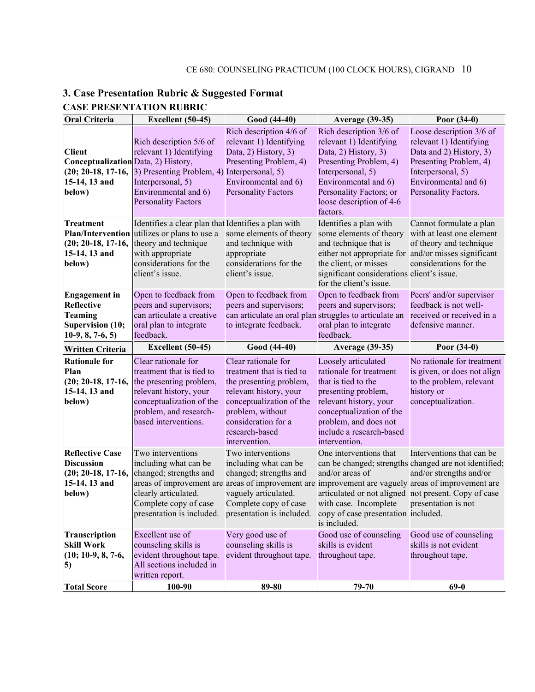| <b>Oral Criteria</b>                                                                                    | Excellent (50-45)                                                                                                                                                                                                                                                                  | Good (44-40)                                                                                                                                                                                                    | <b>Average (39-35)</b>                                                                                                                                                                                                               | Poor $(34-0)$                                                                                                                                                                 |
|---------------------------------------------------------------------------------------------------------|------------------------------------------------------------------------------------------------------------------------------------------------------------------------------------------------------------------------------------------------------------------------------------|-----------------------------------------------------------------------------------------------------------------------------------------------------------------------------------------------------------------|--------------------------------------------------------------------------------------------------------------------------------------------------------------------------------------------------------------------------------------|-------------------------------------------------------------------------------------------------------------------------------------------------------------------------------|
| <b>Client</b><br>Conceptualization Data, 2) History,<br>$(20; 20-18, 17-16,$<br>15-14, 13 and<br>below) | Rich description 5/6 of<br>relevant 1) Identifying<br>3) Presenting Problem, 4) Interpersonal, 5)<br>Interpersonal, 5)<br>Environmental and 6)<br><b>Personality Factors</b>                                                                                                       | Rich description 4/6 of<br>relevant 1) Identifying<br>Data, 2) History, 3)<br>Presenting Problem, 4)<br>Environmental and 6)<br><b>Personality Factors</b>                                                      | Rich description 3/6 of<br>relevant 1) Identifying<br>Data, 2) History, 3)<br>Presenting Problem, 4)<br>Interpersonal, 5)<br>Environmental and 6)<br>Personality Factors; or<br>loose description of 4-6<br>factors.                 | Loose description 3/6 of<br>relevant 1) Identifying<br>Data and 2) History, 3)<br>Presenting Problem, 4)<br>Interpersonal, 5)<br>Environmental and 6)<br>Personality Factors. |
| <b>Treatment</b><br><b>Plan/Intervention</b><br>$(20; 20-18, 17-16,$<br>15-14, 13 and<br>below)         | Identifies a clear plan that Identifies a plan with<br>utilizes or plans to use a<br>theory and technique<br>with appropriate<br>considerations for the<br>client's issue.                                                                                                         | some elements of theory<br>and technique with<br>appropriate<br>considerations for the<br>client's issue.                                                                                                       | Identifies a plan with<br>some elements of theory<br>and technique that is<br>either not appropriate for and/or misses significant<br>the client, or misses<br>significant considerations client's issue.<br>for the client's issue. | Cannot formulate a plan<br>with at least one element<br>of theory and technique<br>considerations for the                                                                     |
| <b>Engagement</b> in<br>Reflective<br><b>Teaming</b><br><b>Supervision (10;</b><br>$10-9, 8, 7-6, 5)$   | Open to feedback from<br>peers and supervisors;<br>can articulate a creative<br>oral plan to integrate<br>feedback.                                                                                                                                                                | Open to feedback from<br>peers and supervisors;<br>can articulate an oral plan struggles to articulate an<br>to integrate feedback.                                                                             | Open to feedback from<br>peers and supervisors;<br>oral plan to integrate<br>feedback.                                                                                                                                               | Peers' and/or supervisor<br>feedback is not well-<br>received or received in a<br>defensive manner.                                                                           |
| Written Criteria                                                                                        | Excellent (50-45)                                                                                                                                                                                                                                                                  | Good (44-40)                                                                                                                                                                                                    | <b>Average (39-35)</b>                                                                                                                                                                                                               | Poor $(34-0)$                                                                                                                                                                 |
| <b>Rationale for</b><br>Plan<br>$(20; 20-18, 17-16,$<br>15-14, 13 and<br>below)                         | Clear rationale for<br>treatment that is tied to<br>the presenting problem,<br>relevant history, your<br>conceptualization of the<br>problem, and research-<br>based interventions.                                                                                                | Clear rationale for<br>treatment that is tied to<br>the presenting problem,<br>relevant history, your<br>conceptualization of the<br>problem, without<br>consideration for a<br>research-based<br>intervention. | Loosely articulated<br>rationale for treatment<br>that is tied to the<br>presenting problem,<br>relevant history, your<br>conceptualization of the<br>problem, and does not<br>include a research-based<br>intervention.             | No rationale for treatment<br>is given, or does not align<br>to the problem, relevant<br>history or<br>conceptualization.                                                     |
| <b>Reflective Case</b><br><b>Discussion</b><br>$(20; 20-18, 17-16,$<br>15-14, 13 and<br>below)          | Two interventions<br>including what can be<br>changed; strengths and<br>areas of improvement are areas of improvement are improvement are vaguely areas of improvement are<br>clearly articulated.<br>Complete copy of case<br>presentation is included. presentation is included. | Two interventions<br>including what can be<br>changed; strengths and<br>vaguely articulated.<br>Complete copy of case                                                                                           | One interventions that<br>and/or areas of<br>articulated or not aligned not present. Copy of case<br>with case. Incomplete presentation is not<br>copy of case presentation included.<br>is included.                                | Interventions that can be<br>can be changed; strengths changed are not identified;<br>and/or strengths and/or                                                                 |
| Transcription<br><b>Skill Work</b><br>$(10; 10-9, 8, 7-6,$<br>5)                                        | Excellent use of<br>counseling skills is<br>evident throughout tape.<br>All sections included in<br>written report.                                                                                                                                                                | Very good use of<br>counseling skills is<br>evident throughout tape.                                                                                                                                            | Good use of counseling<br>skills is evident<br>throughout tape.                                                                                                                                                                      | Good use of counseling<br>skills is not evident<br>throughout tape.                                                                                                           |
| <b>Total Score</b>                                                                                      | 100-90                                                                                                                                                                                                                                                                             | 89-80                                                                                                                                                                                                           | 79-70                                                                                                                                                                                                                                | $69-0$                                                                                                                                                                        |

## **3. Case Presentation Rubric & Suggested Format CASE PRESENTATION RUBRIC**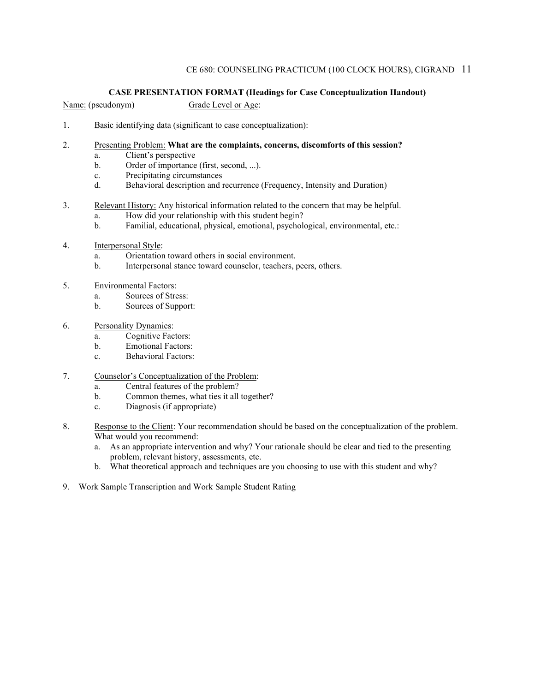#### **CASE PRESENTATION FORMAT (Headings for Case Conceptualization Handout)**

Name: (pseudonym) Grade Level or Age:

- 1. Basic identifying data (significant to case conceptualization):
- 2. Presenting Problem: **What are the complaints, concerns, discomforts of this session?**
	- a. Client's perspective
	- b. Order of importance (first, second, ...).
	- c. Precipitating circumstances
	- d. Behavioral description and recurrence (Frequency, Intensity and Duration)
- 3. Relevant History: Any historical information related to the concern that may be helpful.
	- a. How did your relationship with this student begin?
	- b. Familial, educational, physical, emotional, psychological, environmental, etc.:
- 4. Interpersonal Style:
	- a. Orientation toward others in social environment.
	- b. Interpersonal stance toward counselor, teachers, peers, others.
- 5. Environmental Factors:
	- a. Sources of Stress:
	- b. Sources of Support:
- 6. Personality Dynamics:
	- a. Cognitive Factors:
	- b. Emotional Factors:
	- c. Behavioral Factors:
- 7. Counselor's Conceptualization of the Problem:
	- a. Central features of the problem?
	- b. Common themes, what ties it all together?
	- c. Diagnosis (if appropriate)
- 8. Response to the Client: Your recommendation should be based on the conceptualization of the problem. What would you recommend:
	- a. As an appropriate intervention and why? Your rationale should be clear and tied to the presenting problem, relevant history, assessments, etc.
	- b. What theoretical approach and techniques are you choosing to use with this student and why?
- 9. Work Sample Transcription and Work Sample Student Rating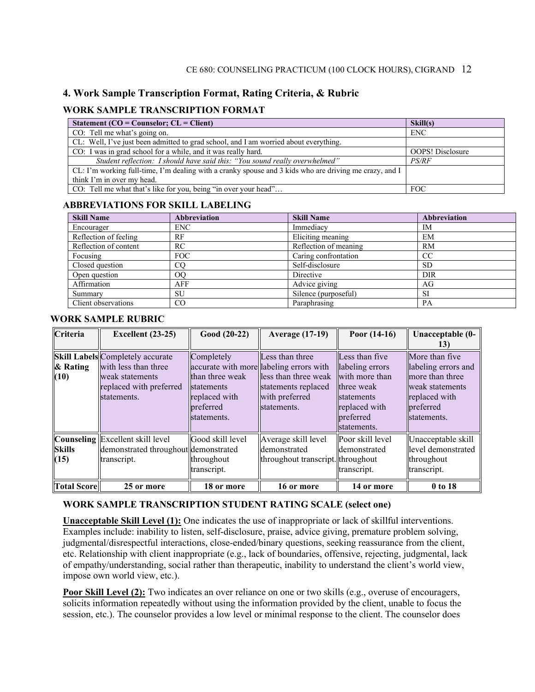### **4. Work Sample Transcription Format, Rating Criteria, & Rubric**

#### **WORK SAMPLE TRANSCRIPTION FORMAT**

| Statement ( $CO = \text{Counselor}; CL = \text{Client}$ )                                              | Skill(s)                |
|--------------------------------------------------------------------------------------------------------|-------------------------|
| CO: Tell me what's going on.                                                                           | <b>ENC</b>              |
| CL: Well, I've just been admitted to grad school, and I am worried about everything.                   |                         |
| CO: I was in grad school for a while, and it was really hard.                                          | <b>OOPS!</b> Disclosure |
| Student reflection: I should have said this: "You sound really overwhelmed"                            | <i>PS/RF</i>            |
| CL: I'm working full-time, I'm dealing with a cranky spouse and 3 kids who are driving me crazy, and I |                         |
| think I'm in over my head.                                                                             |                         |
| CO: Tell me what that's like for you, being "in over your head"                                        | <b>FOC</b>              |

#### **ABBREVIATIONS FOR SKILL LABELING**

| <b>Skill Name</b>     | <b>Abbreviation</b> | <b>Skill Name</b>     | <b>Abbreviation</b> |
|-----------------------|---------------------|-----------------------|---------------------|
| Encourager            | ENC.                | Immediacy             | IM                  |
| Reflection of feeling | RF                  | Eliciting meaning     | EM                  |
| Reflection of content | RC                  | Reflection of meaning | RM                  |
| Focusing              | FOC                 | Caring confrontation  | <sub>CC</sub>       |
| Closed question       | CO                  | Self-disclosure       | <b>SD</b>           |
| Open question         | <sub>OO</sub>       | Directive             | DIR                 |
| Affirmation           | AFF                 | Advice giving         | AG                  |
| Summary               | SU                  | Silence (purposeful)  | <b>SI</b>           |
| Client observations   | CO                  | Paraphrasing          | PA                  |

#### **WORK SAMPLE RUBRIC**

| Criteria              | <b>Excellent</b> (23-25)                                                                                                     | Good (20-22)                                                                             | <b>Average (17-19)</b>                                                                                                                     | Poor $(14-16)$                                                                                                               | Unacceptable (0-<br>13)                                                                                                  |
|-----------------------|------------------------------------------------------------------------------------------------------------------------------|------------------------------------------------------------------------------------------|--------------------------------------------------------------------------------------------------------------------------------------------|------------------------------------------------------------------------------------------------------------------------------|--------------------------------------------------------------------------------------------------------------------------|
| $\&$ Rating<br>(10)   | <b>Skill Labels</b> Completely accurate<br>with less than three<br>weak statements<br>replaced with preferred<br>statements. | Completely<br>than three weak<br>statements<br>replaced with<br>preferred<br>statements. | Less than three<br>accurate with more labeling errors with<br>less than three weak<br>statements replaced<br>with preferred<br>statements. | Less than five<br>labeling errors<br>with more than<br>three weak<br>statements<br>replaced with<br>preferred<br>statements. | More than five<br>labeling errors and<br>more than three<br>weak statements<br>replaced with<br>preferred<br>statements. |
| <b>Skills</b><br>(15) | <b>Counseling</b> Excellent skill level<br>demonstrated throughout demonstrated<br>transcript.                               | Good skill level<br>throughout<br>transcript.                                            | Average skill level<br>demonstrated<br>throughout transcript. throughout                                                                   | Poor skill level<br>demonstrated<br>transcript.                                                                              | Unacceptable skill<br>level demonstrated<br>throughout<br>transcript.                                                    |
| <b>Total Score</b>    | 25 or more                                                                                                                   | 18 or more                                                                               | 16 or more                                                                                                                                 | 14 or more                                                                                                                   | 0 to 18                                                                                                                  |

#### **WORK SAMPLE TRANSCRIPTION STUDENT RATING SCALE (select one)**

**Unacceptable Skill Level (1):** One indicates the use of inappropriate or lack of skillful interventions. Examples include: inability to listen, self-disclosure, praise, advice giving, premature problem solving, judgmental/disrespectful interactions, close-ended/binary questions, seeking reassurance from the client, etc. Relationship with client inappropriate (e.g., lack of boundaries, offensive, rejecting, judgmental, lack of empathy/understanding, social rather than therapeutic, inability to understand the client's world view, impose own world view, etc.).

**Poor Skill Level (2):** Two indicates an over reliance on one or two skills (e.g., overuse of encouragers, solicits information repeatedly without using the information provided by the client, unable to focus the session, etc.). The counselor provides a low level or minimal response to the client. The counselor does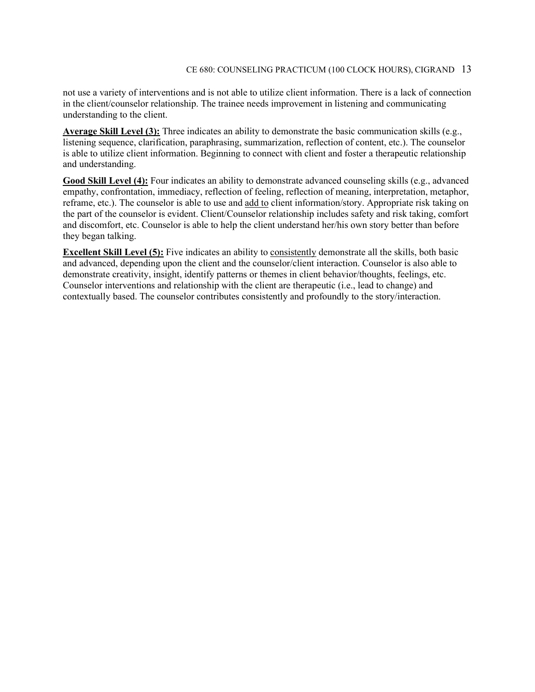not use a variety of interventions and is not able to utilize client information. There is a lack of connection in the client/counselor relationship. The trainee needs improvement in listening and communicating understanding to the client.

**Average Skill Level (3):** Three indicates an ability to demonstrate the basic communication skills (e.g., listening sequence, clarification, paraphrasing, summarization, reflection of content, etc.). The counselor is able to utilize client information. Beginning to connect with client and foster a therapeutic relationship and understanding.

**Good Skill Level (4):** Four indicates an ability to demonstrate advanced counseling skills (e.g., advanced empathy, confrontation, immediacy, reflection of feeling, reflection of meaning, interpretation, metaphor, reframe, etc.). The counselor is able to use and add to client information/story. Appropriate risk taking on the part of the counselor is evident. Client/Counselor relationship includes safety and risk taking, comfort and discomfort, etc. Counselor is able to help the client understand her/his own story better than before they began talking.

**Excellent Skill Level (5):** Five indicates an ability to consistently demonstrate all the skills, both basic and advanced, depending upon the client and the counselor/client interaction. Counselor is also able to demonstrate creativity, insight, identify patterns or themes in client behavior/thoughts, feelings, etc. Counselor interventions and relationship with the client are therapeutic (i.e., lead to change) and contextually based. The counselor contributes consistently and profoundly to the story/interaction.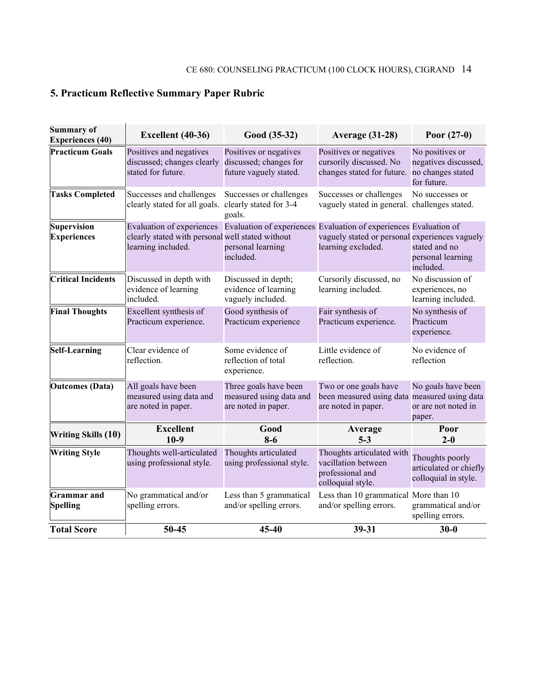# **5. Practicum Reflective Summary Paper Rubric**

| <b>Summary of</b><br><b>Experiences (40)</b> | Excellent (40-36)                                                                                                                                                     | Good (35-32)                                                               | <b>Average (31-28)</b>                                                                       | Poor $(27-0)$                                                               |
|----------------------------------------------|-----------------------------------------------------------------------------------------------------------------------------------------------------------------------|----------------------------------------------------------------------------|----------------------------------------------------------------------------------------------|-----------------------------------------------------------------------------|
| <b>Practicum Goals</b>                       | Positives and negatives<br>discussed; changes clearly<br>stated for future.                                                                                           | Positives or negatives<br>discussed; changes for<br>future vaguely stated. | Positives or negatives<br>cursorily discussed. No<br>changes stated for future.              | No positives or<br>negatives discussed,<br>no changes stated<br>for future. |
| <b>Tasks Completed</b>                       | Successes and challenges<br>clearly stated for all goals.                                                                                                             | Successes or challenges<br>clearly stated for 3-4<br>goals.                | Successes or challenges<br>vaguely stated in general. challenges stated.                     | No successes or                                                             |
| <b>Supervision</b><br><b>Experiences</b>     | Evaluation of experiences Evaluation of experiences Evaluation of experiences Evaluation of<br>clearly stated with personal well stated without<br>learning included. | personal learning<br>included.                                             | vaguely stated or personal experiences vaguely<br>learning excluded.                         | stated and no<br>personal learning<br>included.                             |
| <b>Critical Incidents</b>                    | Discussed in depth with<br>evidence of learning<br>included.                                                                                                          | Discussed in depth;<br>evidence of learning<br>vaguely included.           | Cursorily discussed, no<br>learning included.                                                | No discussion of<br>experiences, no<br>learning included.                   |
| <b>Final Thoughts</b>                        | Excellent synthesis of<br>Practicum experience.                                                                                                                       | Good synthesis of<br>Practicum experience                                  | Fair synthesis of<br>Practicum experience.                                                   | No synthesis of<br>Practicum<br>experience.                                 |
| <b>Self-Learning</b>                         | Clear evidence of<br>reflection.                                                                                                                                      | Some evidence of<br>reflection of total<br>experience.                     | Little evidence of<br>reflection.                                                            | No evidence of<br>reflection                                                |
| <b>Outcomes</b> (Data)                       | All goals have been<br>measured using data and<br>are noted in paper.                                                                                                 | Three goals have been<br>measured using data and<br>are noted in paper.    | Two or one goals have<br>been measured using data measured using data<br>are noted in paper. | No goals have been<br>or are not noted in<br>paper.                         |
| <b>Writing Skills (10)</b>                   | <b>Excellent</b><br>$10-9$                                                                                                                                            | Good<br>$8-6$                                                              | Average<br>$5 - 3$                                                                           | Poor<br>$2 - 0$                                                             |
| <b>Writing Style</b>                         | Thoughts well-articulated<br>using professional style.                                                                                                                | Thoughts articulated<br>using professional style.                          | Thoughts articulated with<br>vacillation between<br>professional and<br>colloquial style.    | Thoughts poorly<br>articulated or chiefly<br>colloquial in style.           |
| <b>Grammar</b> and<br><b>Spelling</b>        | No grammatical and/or<br>spelling errors.                                                                                                                             | Less than 5 grammatical<br>and/or spelling errors.                         | Less than 10 grammatical More than 10<br>and/or spelling errors.                             | grammatical and/or<br>spelling errors.                                      |
| <b>Total Score</b>                           | 50-45                                                                                                                                                                 | 45-40                                                                      | 39-31                                                                                        | $30 - 0$                                                                    |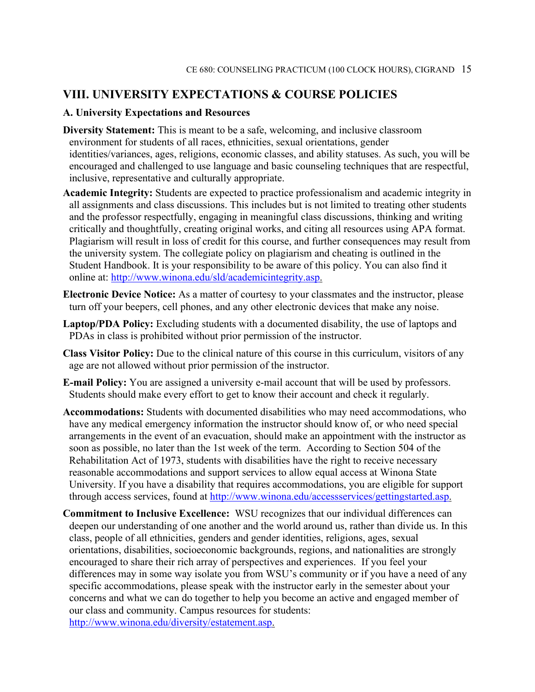### **VIII. UNIVERSITY EXPECTATIONS & COURSE POLICIES**

#### **A. University Expectations and Resources**

- **Diversity Statement:** This is meant to be a safe, welcoming, and inclusive classroom environment for students of all races, ethnicities, sexual orientations, gender identities/variances, ages, religions, economic classes, and ability statuses. As such, you will be encouraged and challenged to use language and basic counseling techniques that are respectful, inclusive, representative and culturally appropriate.
- **Academic Integrity:** Students are expected to practice professionalism and academic integrity in all assignments and class discussions. This includes but is not limited to treating other students and the professor respectfully, engaging in meaningful class discussions, thinking and writing critically and thoughtfully, creating original works, and citing all resources using APA format. Plagiarism will result in loss of credit for this course, and further consequences may result from the university system. The collegiate policy on plagiarism and cheating is outlined in the Student Handbook. It is your responsibility to be aware of this policy. You can also find it online at: [http://www.winona.edu/sld/academicintegrity.asp.](http://www.winona.edu/sld/academicintegrity.asp)
- **Electronic Device Notice:** As a matter of courtesy to your classmates and the instructor, please turn off your beepers, cell phones, and any other electronic devices that make any noise.
- **Laptop/PDA Policy:** Excluding students with a documented disability, the use of laptops and PDAs in class is prohibited without prior permission of the instructor.
- **Class Visitor Policy:** Due to the clinical nature of this course in this curriculum, visitors of any age are not allowed without prior permission of the instructor.
- **E-mail Policy:** You are assigned a university e-mail account that will be used by professors. Students should make every effort to get to know their account and check it regularly.
- **Accommodations:** Students with documented disabilities who may need accommodations, who have any medical emergency information the instructor should know of, or who need special arrangements in the event of an evacuation, should make an appointment with the instructor as soon as possible, no later than the 1st week of the term. According to Section 504 of the Rehabilitation Act of 1973, students with disabilities have the right to receive necessary reasonable accommodations and support services to allow equal access at Winona State University. If you have a disability that requires accommodations, you are eligible for support through access services, found at [http://www.winona.edu/accessservices/gettingstarted.asp.](http://www.winona.edu/accessservices/gettingstarted.asp)
- **Commitment to Inclusive Excellence:** WSU recognizes that our individual differences can deepen our understanding of one another and the world around us, rather than divide us. In this class, people of all ethnicities, genders and gender identities, religions, ages, sexual orientations, disabilities, socioeconomic backgrounds, regions, and nationalities are strongly encouraged to share their rich array of perspectives and experiences. If you feel your differences may in some way isolate you from WSU's community or if you have a need of any specific accommodations, please speak with the instructor early in the semester about your concerns and what we can do together to help you become an active and engaged member of our class and community. Campus resources for students: [http://www.winona.edu/diversity/estatement.asp.](http://www.winona.edu/diversity/estatement.asp)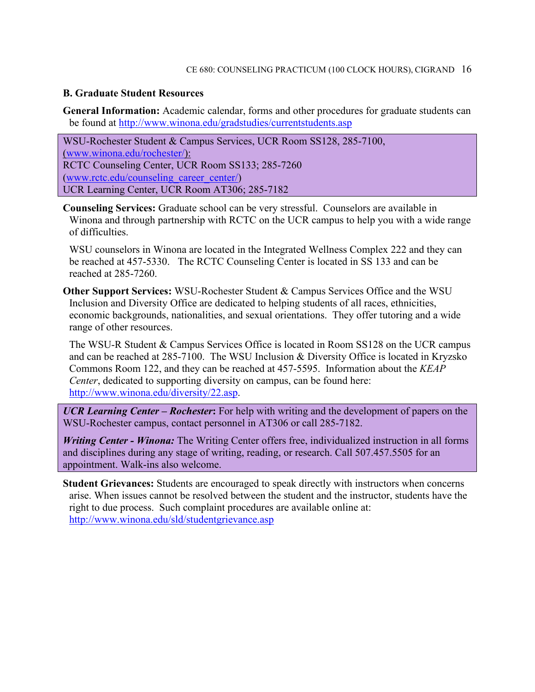#### **B. Graduate Student Resources**

**General Information:** Academic calendar, forms and other procedures for graduate students can be found at<http://www.winona.edu/gradstudies/currentstudents.asp>

WSU-Rochester Student & Campus Services, UCR Room SS128, 285-7100, [\(www.winona.edu/rochester/\)](http://www.winona.edu/rochester/): RCTC Counseling Center, UCR Room SS133; 285-7260 [\(www.rctc.edu/counseling\\_career\\_center/\)](http://www.rctc.edu/counseling_career_center/) UCR Learning Center, UCR Room AT306; 285-7182

**Counseling Services:** Graduate school can be very stressful. Counselors are available in Winona and through partnership with RCTC on the UCR campus to help you with a wide range of difficulties.

WSU counselors in Winona are located in the Integrated Wellness Complex 222 and they can be reached at 457-5330. The RCTC Counseling Center is located in SS 133 and can be reached at 285-7260.

**Other Support Services:** WSU-Rochester Student & Campus Services Office and the WSU Inclusion and Diversity Office are dedicated to helping students of all races, ethnicities, economic backgrounds, nationalities, and sexual orientations. They offer tutoring and a wide range of other resources.

The WSU-R Student & Campus Services Office is located in Room SS128 on the UCR campus and can be reached at 285-7100. The WSU Inclusion & Diversity Office is located in Kryzsko Commons Room 122, and they can be reached at 457-5595. Information about the *KEAP Center*, dedicated to supporting diversity on campus, can be found here: [http://www.winona.edu/diversity/22.asp.](http://www.winona.edu/diversity/22.asp)

*UCR Learning Center – Rochester***:** For help with writing and the development of papers on the WSU-Rochester campus, contact personnel in AT306 or call 285-7182.

*Writing Center - Winona:* The Writing Center offers free, individualized instruction in all forms and disciplines during any stage of writing, reading, or research. Call 507.457.5505 for an appointment. Walk-ins also welcome.

**Student Grievances:** Students are encouraged to speak directly with instructors when concerns arise. When issues cannot be resolved between the student and the instructor, students have the right to due process. Such complaint procedures are available online at: <http://www.winona.edu/sld/studentgrievance.asp>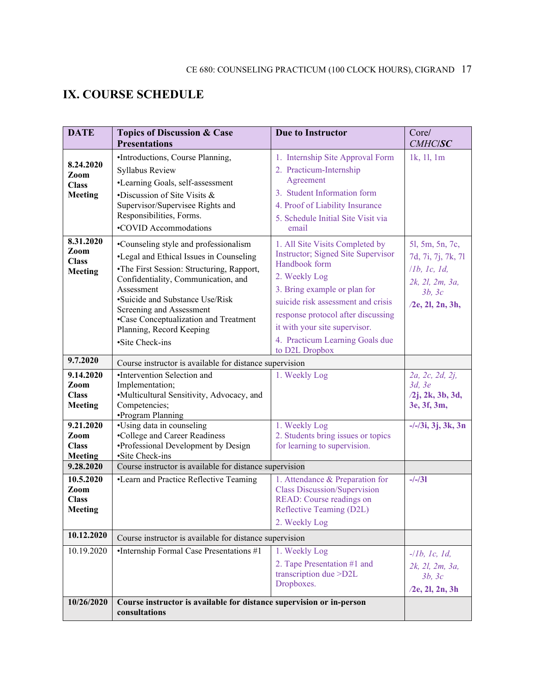# **IX. COURSE SCHEDULE**

| <b>DATE</b>                    | <b>Topics of Discussion &amp; Case</b><br><b>Presentations</b>       | <b>Due to Instructor</b>                                           | Core/<br><b>CMHC/SC</b>       |  |  |
|--------------------------------|----------------------------------------------------------------------|--------------------------------------------------------------------|-------------------------------|--|--|
|                                | •Introductions, Course Planning,                                     | 1. Internship Site Approval Form                                   | 1k, 1l, 1m                    |  |  |
| 8.24.2020                      | Syllabus Review                                                      | 2. Practicum-Internship                                            |                               |  |  |
| Zoom<br><b>Class</b>           | •Learning Goals, self-assessment                                     | Agreement                                                          |                               |  |  |
| <b>Meeting</b>                 | •Discussion of Site Visits &                                         | 3. Student Information form                                        |                               |  |  |
|                                | Supervisor/Supervisee Rights and                                     | 4. Proof of Liability Insurance                                    |                               |  |  |
|                                | Responsibilities, Forms.                                             | 5. Schedule Initial Site Visit via                                 |                               |  |  |
|                                | •COVID Accommodations                                                | email                                                              |                               |  |  |
| 8.31.2020<br>Zoom              | •Counseling style and professionalism                                | 1. All Site Visits Completed by                                    | 51, 5m, 5n, 7c,               |  |  |
| <b>Class</b>                   | •Legal and Ethical Issues in Counseling                              | <b>Instructor</b> ; Signed Site Supervisor<br>Handbook form        | 7d, 7i, 7j, 7k, 7l            |  |  |
| Meeting                        | •The First Session: Structuring, Rapport,                            | 2. Weekly Log                                                      | 11b, 1c, 1d,                  |  |  |
|                                | Confidentiality, Communication, and<br>Assessment                    | 3. Bring example or plan for                                       | 2k, 2l, 2m, 3a,               |  |  |
|                                | •Suicide and Substance Use/Risk                                      | suicide risk assessment and crisis                                 | 3b, 3c<br>$/2e$ , 21, 2n, 3h, |  |  |
|                                | Screening and Assessment                                             | response protocol after discussing                                 |                               |  |  |
|                                | •Case Conceptualization and Treatment<br>Planning, Record Keeping    | it with your site supervisor.                                      |                               |  |  |
|                                | ·Site Check-ins                                                      | 4. Practicum Learning Goals due                                    |                               |  |  |
|                                |                                                                      | to D2L Dropbox                                                     |                               |  |  |
| 9.7.2020                       | Course instructor is available for distance supervision              |                                                                    |                               |  |  |
| 9.14.2020                      | •Intervention Selection and                                          | 1. Weekly Log                                                      | 2a, 2c, 2d, 2j,               |  |  |
| Zoom<br><b>Class</b>           | Implementation;<br>•Multicultural Sensitivity, Advocacy, and         |                                                                    | 3d, 3e<br>$/2j$ , 2k, 3b, 3d, |  |  |
| <b>Meeting</b>                 | Competencies;                                                        |                                                                    | 3e, 3f, 3m,                   |  |  |
|                                | •Program Planning                                                    |                                                                    |                               |  |  |
| 9.21.2020                      | •Using data in counseling                                            | 1. Weekly Log                                                      | $-/-/3i$ , 3j, 3k, 3n         |  |  |
| Zoom<br><b>Class</b>           | •College and Career Readiness<br>•Professional Development by Design | 2. Students bring issues or topics<br>for learning to supervision. |                               |  |  |
| <b>Meeting</b>                 | ·Site Check-ins                                                      |                                                                    |                               |  |  |
| 9.28.2020                      | Course instructor is available for distance supervision              |                                                                    |                               |  |  |
| 10.5.2020                      | •Learn and Practice Reflective Teaming                               | 1. Attendance & Preparation for                                    | $-/-/31$                      |  |  |
| Zoom                           |                                                                      | <b>Class Discussion/Supervision</b>                                |                               |  |  |
| <b>Class</b><br><b>Meeting</b> |                                                                      | READ: Course readings on<br>Reflective Teaming (D2L)               |                               |  |  |
|                                |                                                                      | 2. Weekly Log                                                      |                               |  |  |
| 10.12.2020                     | Course instructor is available for distance supervision              |                                                                    |                               |  |  |
| 10.19.2020                     | •Internship Formal Case Presentations #1                             | 1. Weekly Log                                                      |                               |  |  |
|                                |                                                                      | 2. Tape Presentation #1 and                                        | $-llb, lc, Id,$               |  |  |
|                                |                                                                      | transcription due >D2L                                             | 2k, 2l, 2m, 3a,<br>3b, 3c     |  |  |
|                                |                                                                      | Dropboxes.                                                         | $/2e$ , 2l, 2n, 3h            |  |  |
| 10/26/2020                     | Course instructor is available for distance supervision or in-person |                                                                    |                               |  |  |
|                                | consultations                                                        |                                                                    |                               |  |  |